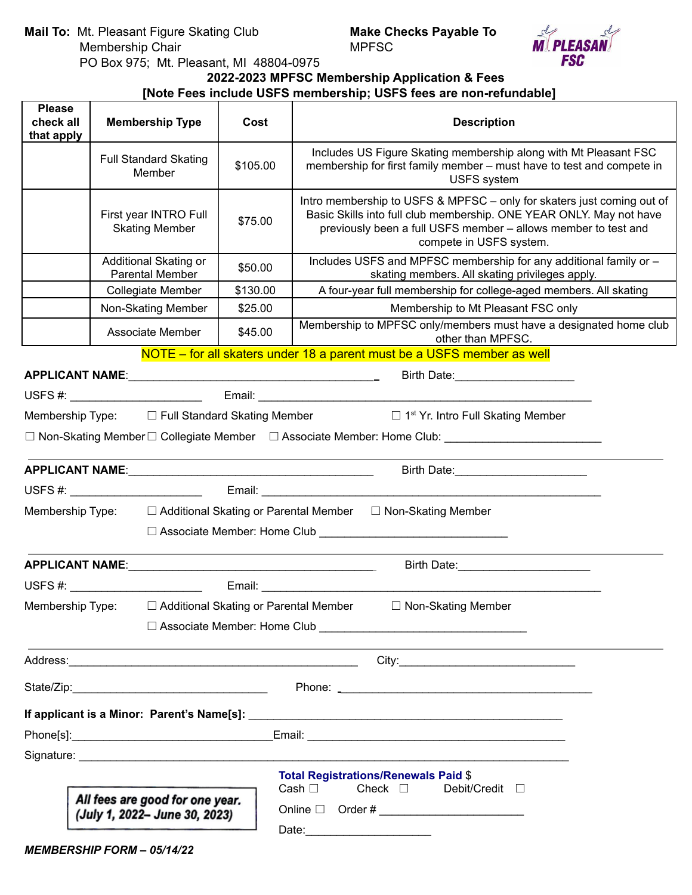**Mail To:** Mt. Pleasant Figure Skating Club **Make Checks Payable To** Membership Chair PO Box 975; Mt. Pleasant, MI 48804-0975



**2022-2023 MPFSC Membership Application & Fees**

# **[Note Fees include USFS membership; USFS fees are non-refundable]**

| <b>Please</b><br>check all<br>that apply | <b>Membership Type</b>                                                                                         | Cost     | <b>Description</b>                                                                                                                                                                                                                         |
|------------------------------------------|----------------------------------------------------------------------------------------------------------------|----------|--------------------------------------------------------------------------------------------------------------------------------------------------------------------------------------------------------------------------------------------|
|                                          | <b>Full Standard Skating</b><br>Member                                                                         | \$105.00 | Includes US Figure Skating membership along with Mt Pleasant FSC<br>membership for first family member - must have to test and compete in<br><b>USFS</b> system                                                                            |
|                                          | First year INTRO Full<br><b>Skating Member</b>                                                                 | \$75.00  | Intro membership to USFS & MPFSC - only for skaters just coming out of<br>Basic Skills into full club membership. ONE YEAR ONLY. May not have<br>previously been a full USFS member - allows member to test and<br>compete in USFS system. |
|                                          | Additional Skating or<br><b>Parental Member</b>                                                                | \$50.00  | Includes USFS and MPFSC membership for any additional family or -<br>skating members. All skating privileges apply.                                                                                                                        |
|                                          | Collegiate Member                                                                                              | \$130.00 | A four-year full membership for college-aged members. All skating                                                                                                                                                                          |
|                                          | Non-Skating Member                                                                                             | \$25.00  | Membership to Mt Pleasant FSC only                                                                                                                                                                                                         |
|                                          | Associate Member                                                                                               | \$45.00  | Membership to MPFSC only/members must have a designated home club<br>other than MPFSC.                                                                                                                                                     |
|                                          |                                                                                                                |          | NOTE – for all skaters under 18 a parent must be a USFS member as well                                                                                                                                                                     |
|                                          |                                                                                                                |          | Birth Date: <b>Market Street Birth Date:</b>                                                                                                                                                                                               |
|                                          |                                                                                                                |          |                                                                                                                                                                                                                                            |
|                                          |                                                                                                                |          | Membership Type: $\Box$ Full Standard Skating Member $\Box$ 1 <sup>st</sup> Yr. Intro Full Skating Member                                                                                                                                  |
|                                          |                                                                                                                |          | □ Non-Skating Member □ Collegiate Member □ Associate Member: Home Club: ___________________________                                                                                                                                        |
|                                          |                                                                                                                |          |                                                                                                                                                                                                                                            |
|                                          |                                                                                                                |          |                                                                                                                                                                                                                                            |
| Membership Type:                         |                                                                                                                |          | □ Additional Skating or Parental Member □ Non-Skating Member                                                                                                                                                                               |
|                                          |                                                                                                                |          |                                                                                                                                                                                                                                            |
|                                          |                                                                                                                |          |                                                                                                                                                                                                                                            |
|                                          |                                                                                                                |          |                                                                                                                                                                                                                                            |
|                                          |                                                                                                                |          | Membership Type: □ Additional Skating or Parental Member □ Non-Skating Member                                                                                                                                                              |
|                                          |                                                                                                                |          |                                                                                                                                                                                                                                            |
|                                          |                                                                                                                |          | Address: Call Contract Contract Contract Contract Contract City: City: City: City: City: City: City: City: City: City: City: City: City: City: City: City: City: City: City: City: City: City: City: City: City: City: City: C             |
|                                          |                                                                                                                |          |                                                                                                                                                                                                                                            |
|                                          |                                                                                                                |          |                                                                                                                                                                                                                                            |
|                                          |                                                                                                                |          |                                                                                                                                                                                                                                            |
|                                          | Signature: the contract of the contract of the contract of the contract of the contract of the contract of the |          |                                                                                                                                                                                                                                            |
|                                          |                                                                                                                |          | <b>Total Registrations/Renewals Paid \$</b>                                                                                                                                                                                                |
|                                          | All fees are good for one year.                                                                                |          | Cash $\Box$<br>Check $\Box$<br>Debit/Credit □                                                                                                                                                                                              |
| (July 1, 2022- June 30, 2023)            |                                                                                                                |          |                                                                                                                                                                                                                                            |
|                                          | <b>MEMBERSHIP FORM - 05/14/22</b>                                                                              |          | Date: 2008                                                                                                                                                                                                                                 |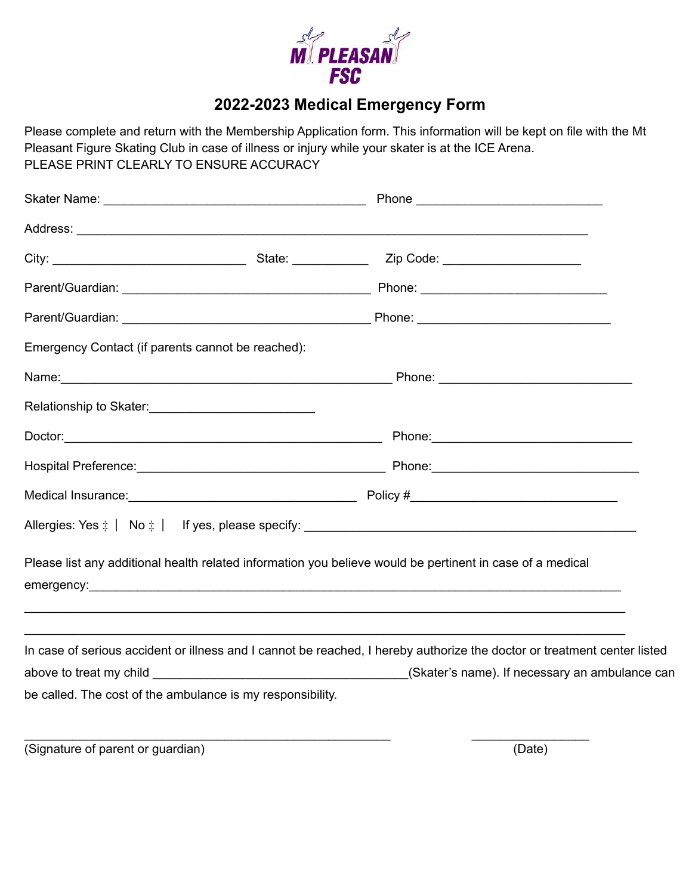

# **2022-2023 Medical Emergency Form**

Please complete and return with the Membership Application form. This information will be kept on file with the Mt Pleasant Figure Skating Club in case of illness or injury while your skater is at the ICE Arena. PLEASE PRINT CLEARLY TO ENSURE ACCURACY

| Emergency Contact (if parents cannot be reached):          |  |                                                                                                                          |  |
|------------------------------------------------------------|--|--------------------------------------------------------------------------------------------------------------------------|--|
|                                                            |  |                                                                                                                          |  |
| Relationship to Skater:<br><u> </u>                        |  |                                                                                                                          |  |
|                                                            |  |                                                                                                                          |  |
|                                                            |  |                                                                                                                          |  |
|                                                            |  |                                                                                                                          |  |
|                                                            |  |                                                                                                                          |  |
|                                                            |  | Please list any additional health related information you believe would be pertinent in case of a medical                |  |
|                                                            |  | In case of serious accident or illness and I cannot be reached, I hereby authorize the doctor or treatment center listed |  |
|                                                            |  |                                                                                                                          |  |
| be called. The cost of the ambulance is my responsibility. |  |                                                                                                                          |  |
|                                                            |  |                                                                                                                          |  |

(Signature of parent or guardian) (Date)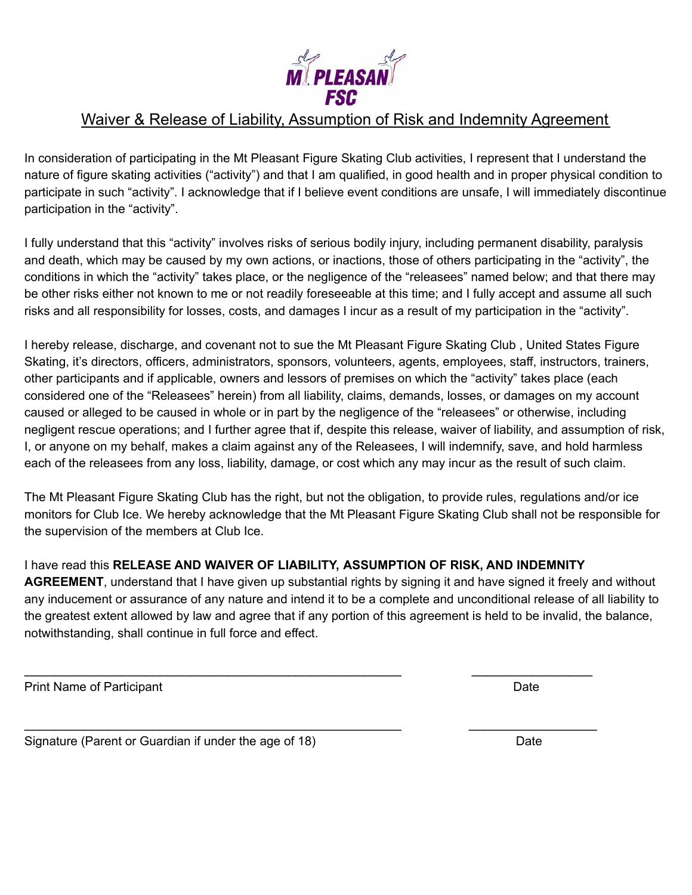

## Waiver & Release of Liability, Assumption of Risk and Indemnity Agreement

In consideration of participating in the Mt Pleasant Figure Skating Club activities, I represent that I understand the nature of figure skating activities ("activity") and that I am qualified, in good health and in proper physical condition to participate in such "activity". I acknowledge that if I believe event conditions are unsafe, I will immediately discontinue participation in the "activity".

I fully understand that this "activity" involves risks of serious bodily injury, including permanent disability, paralysis and death, which may be caused by my own actions, or inactions, those of others participating in the "activity", the conditions in which the "activity" takes place, or the negligence of the "releasees" named below; and that there may be other risks either not known to me or not readily foreseeable at this time; and I fully accept and assume all such risks and all responsibility for losses, costs, and damages I incur as a result of my participation in the "activity".

I hereby release, discharge, and covenant not to sue the Mt Pleasant Figure Skating Club , United States Figure Skating, it's directors, officers, administrators, sponsors, volunteers, agents, employees, staff, instructors, trainers, other participants and if applicable, owners and lessors of premises on which the "activity" takes place (each considered one of the "Releasees" herein) from all liability, claims, demands, losses, or damages on my account caused or alleged to be caused in whole or in part by the negligence of the "releasees" or otherwise, including negligent rescue operations; and I further agree that if, despite this release, waiver of liability, and assumption of risk, I, or anyone on my behalf, makes a claim against any of the Releasees, I will indemnify, save, and hold harmless each of the releasees from any loss, liability, damage, or cost which any may incur as the result of such claim.

The Mt Pleasant Figure Skating Club has the right, but not the obligation, to provide rules, regulations and/or ice monitors for Club Ice. We hereby acknowledge that the Mt Pleasant Figure Skating Club shall not be responsible for the supervision of the members at Club Ice.

I have read this **RELEASE AND WAIVER OF LIABILITY, ASSUMPTION OF RISK, AND INDEMNITY**

\_\_\_\_\_\_\_\_\_\_\_\_\_\_\_\_\_\_\_\_\_\_\_\_\_\_\_\_\_\_\_\_\_\_\_\_\_\_\_\_\_\_\_\_\_\_\_\_\_\_ \_\_\_\_\_\_\_\_\_\_\_\_\_\_\_\_

 $\_$  , and the set of the set of the set of the set of the set of the set of the set of the set of the set of the set of the set of the set of the set of the set of the set of the set of the set of the set of the set of th

**AGREEMENT**, understand that I have given up substantial rights by signing it and have signed it freely and without any inducement or assurance of any nature and intend it to be a complete and unconditional release of all liability to the greatest extent allowed by law and agree that if any portion of this agreement is held to be invalid, the balance, notwithstanding, shall continue in full force and effect.

Print Name of Participant Date Controller and Date Date Date Date Date

Signature (Parent or Guardian if under the age of 18) Date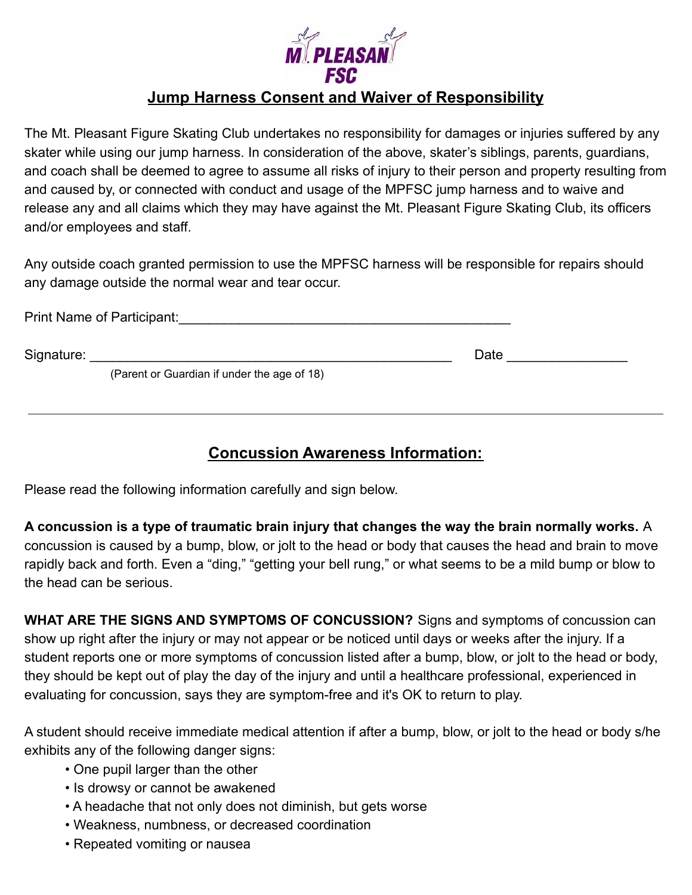

## **Jump Harness Consent and Waiver of Responsibility**

The Mt. Pleasant Figure Skating Club undertakes no responsibility for damages or injuries suffered by any skater while using our jump harness. In consideration of the above, skater's siblings, parents, guardians, and coach shall be deemed to agree to assume all risks of injury to their person and property resulting from and caused by, or connected with conduct and usage of the MPFSC jump harness and to waive and release any and all claims which they may have against the Mt. Pleasant Figure Skating Club, its officers and/or employees and staff.

Any outside coach granted permission to use the MPFSC harness will be responsible for repairs should any damage outside the normal wear and tear occur.

|            | Print Name of Participant:                  |      |  |
|------------|---------------------------------------------|------|--|
| Signature: | (Parent or Guardian if under the age of 18) | Date |  |
|            |                                             |      |  |

## **Concussion Awareness Information:**

Please read the following information carefully and sign below.

**A concussion is a type of traumatic brain injury that changes the way the brain normally works.** A concussion is caused by a bump, blow, or jolt to the head or body that causes the head and brain to move rapidly back and forth. Even a "ding," "getting your bell rung," or what seems to be a mild bump or blow to the head can be serious.

**WHAT ARE THE SIGNS AND SYMPTOMS OF CONCUSSION?** Signs and symptoms of concussion can show up right after the injury or may not appear or be noticed until days or weeks after the injury. If a student reports one or more symptoms of concussion listed after a bump, blow, or jolt to the head or body, they should be kept out of play the day of the injury and until a healthcare professional, experienced in evaluating for concussion, says they are symptom-free and it's OK to return to play.

A student should receive immediate medical attention if after a bump, blow, or jolt to the head or body s/he exhibits any of the following danger signs:

- One pupil larger than the other
- Is drowsy or cannot be awakened
- A headache that not only does not diminish, but gets worse
- Weakness, numbness, or decreased coordination
- Repeated vomiting or nausea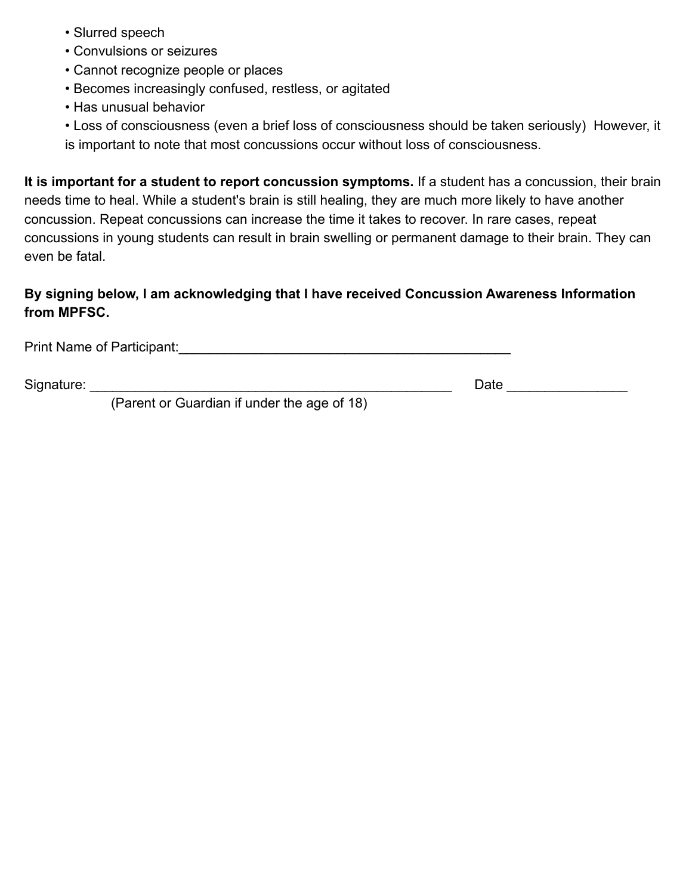- Slurred speech
- Convulsions or seizures
- Cannot recognize people or places
- Becomes increasingly confused, restless, or agitated
- Has unusual behavior

• Loss of consciousness (even a brief loss of consciousness should be taken seriously) However, it is important to note that most concussions occur without loss of consciousness.

**It is important for a student to report concussion symptoms.** If a student has a concussion, their brain needs time to heal. While a student's brain is still healing, they are much more likely to have another concussion. Repeat concussions can increase the time it takes to recover. In rare cases, repeat concussions in young students can result in brain swelling or permanent damage to their brain. They can even be fatal.

## **By signing below, I am acknowledging that I have received Concussion Awareness Information from MPFSC.**

Print Name of Participant: <u>Lateral and the set of the set of the set of the set of the set of the set of the set of the set of the set of the set of the set of the set of the set of the set of the set of the set of the se</u>

Signature: \_\_\_\_\_\_\_\_\_\_\_\_\_\_\_\_\_\_\_\_\_\_\_\_\_\_\_\_\_\_\_\_\_\_\_\_\_\_\_\_\_\_\_\_\_\_\_\_ Date \_\_\_\_\_\_\_\_\_\_\_\_\_\_\_\_

(Parent or Guardian if under the age of 18)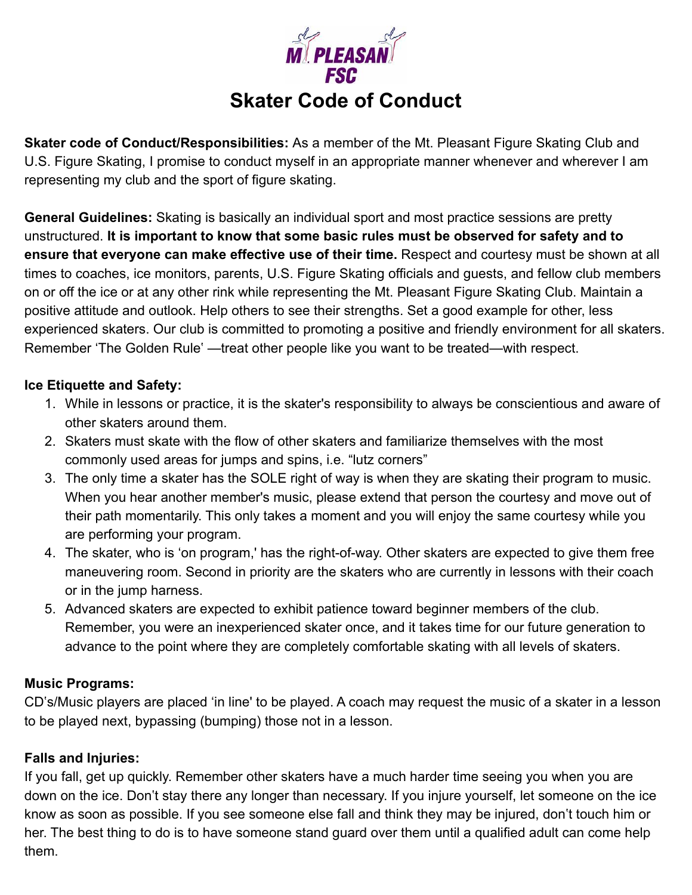

**Skater code of Conduct/Responsibilities:** As a member of the Mt. Pleasant Figure Skating Club and U.S. Figure Skating, I promise to conduct myself in an appropriate manner whenever and wherever I am representing my club and the sport of figure skating.

**General Guidelines:** Skating is basically an individual sport and most practice sessions are pretty unstructured. **It is important to know that some basic rules must be observed for safety and to ensure that everyone can make effective use of their time.** Respect and courtesy must be shown at all times to coaches, ice monitors, parents, U.S. Figure Skating officials and guests, and fellow club members on or off the ice or at any other rink while representing the Mt. Pleasant Figure Skating Club. Maintain a positive attitude and outlook. Help others to see their strengths. Set a good example for other, less experienced skaters. Our club is committed to promoting a positive and friendly environment for all skaters. Remember 'The Golden Rule' —treat other people like you want to be treated—with respect.

### **Ice Etiquette and Safety:**

- 1. While in lessons or practice, it is the skater's responsibility to always be conscientious and aware of other skaters around them.
- 2. Skaters must skate with the flow of other skaters and familiarize themselves with the most commonly used areas for jumps and spins, i.e. "lutz corners"
- 3. The only time a skater has the SOLE right of way is when they are skating their program to music. When you hear another member's music, please extend that person the courtesy and move out of their path momentarily. This only takes a moment and you will enjoy the same courtesy while you are performing your program.
- 4. The skater, who is 'on program,' has the right-of-way. Other skaters are expected to give them free maneuvering room. Second in priority are the skaters who are currently in lessons with their coach or in the jump harness.
- 5. Advanced skaters are expected to exhibit patience toward beginner members of the club. Remember, you were an inexperienced skater once, and it takes time for our future generation to advance to the point where they are completely comfortable skating with all levels of skaters.

#### **Music Programs:**

CD's/Music players are placed 'in line' to be played. A coach may request the music of a skater in a lesson to be played next, bypassing (bumping) those not in a lesson.

## **Falls and Injuries:**

If you fall, get up quickly. Remember other skaters have a much harder time seeing you when you are down on the ice. Don't stay there any longer than necessary. If you injure yourself, let someone on the ice know as soon as possible. If you see someone else fall and think they may be injured, don't touch him or her. The best thing to do is to have someone stand guard over them until a qualified adult can come help them.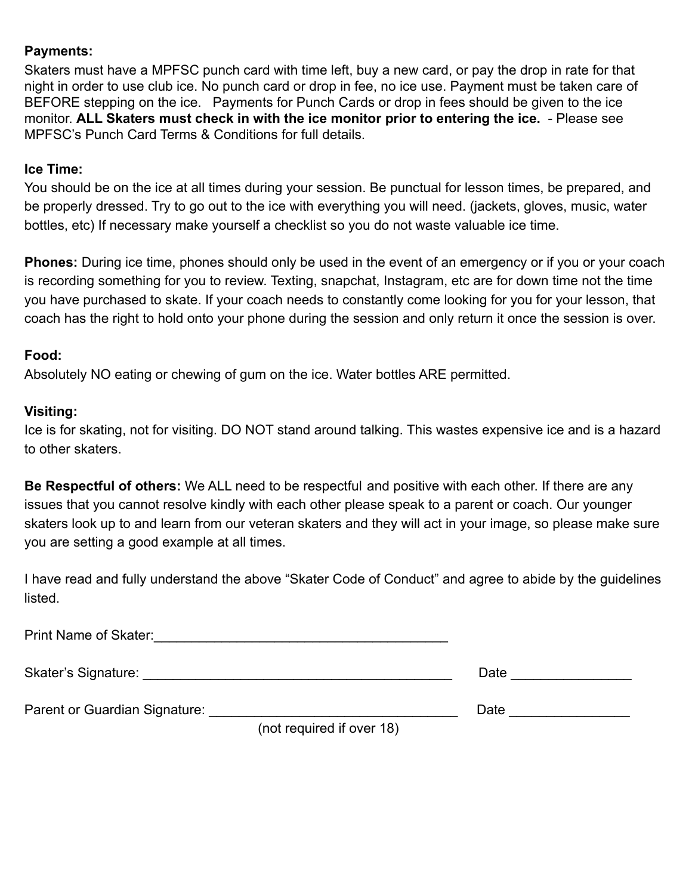#### **Payments:**

Skaters must have a MPFSC punch card with time left, buy a new card, or pay the drop in rate for that night in order to use club ice. No punch card or drop in fee, no ice use. Payment must be taken care of BEFORE stepping on the ice. Payments for Punch Cards or drop in fees should be given to the ice monitor. **ALL Skaters must check in with the ice monitor prior to entering the ice.** - Please see MPFSC's Punch Card Terms & Conditions for full details.

#### **Ice Time:**

You should be on the ice at all times during your session. Be punctual for lesson times, be prepared, and be properly dressed. Try to go out to the ice with everything you will need. (jackets, gloves, music, water bottles, etc) If necessary make yourself a checklist so you do not waste valuable ice time.

**Phones:** During ice time, phones should only be used in the event of an emergency or if you or your coach is recording something for you to review. Texting, snapchat, Instagram, etc are for down time not the time you have purchased to skate. If your coach needs to constantly come looking for you for your lesson, that coach has the right to hold onto your phone during the session and only return it once the session is over.

#### **Food:**

Absolutely NO eating or chewing of gum on the ice. Water bottles ARE permitted.

#### **Visiting:**

Ice is for skating, not for visiting. DO NOT stand around talking. This wastes expensive ice and is a hazard to other skaters.

**Be Respectful of others:** We ALL need to be respectful and positive with each other. If there are any issues that you cannot resolve kindly with each other please speak to a parent or coach. Our younger skaters look up to and learn from our veteran skaters and they will act in your image, so please make sure you are setting a good example at all times.

I have read and fully understand the above "Skater Code of Conduct" and agree to abide by the guidelines listed.

Print Name of Skater:\_\_\_\_\_\_\_\_\_\_\_\_\_\_\_\_\_\_\_\_\_\_\_\_\_\_\_\_\_\_\_\_\_\_\_\_\_\_\_

Skater's Signature: \_\_\_\_\_\_\_\_\_\_\_\_\_\_\_\_\_\_\_\_\_\_\_\_\_\_\_\_\_\_\_\_\_\_\_\_\_\_\_\_\_ Date \_\_\_\_\_\_\_\_\_\_\_\_\_\_\_\_

Parent or Guardian Signature: \_\_\_\_\_\_\_\_\_\_\_\_\_\_\_\_\_\_\_\_\_\_\_\_\_\_\_\_\_\_\_\_\_ Date \_\_\_\_\_\_\_\_\_\_\_\_\_\_\_\_

(not required if over 18)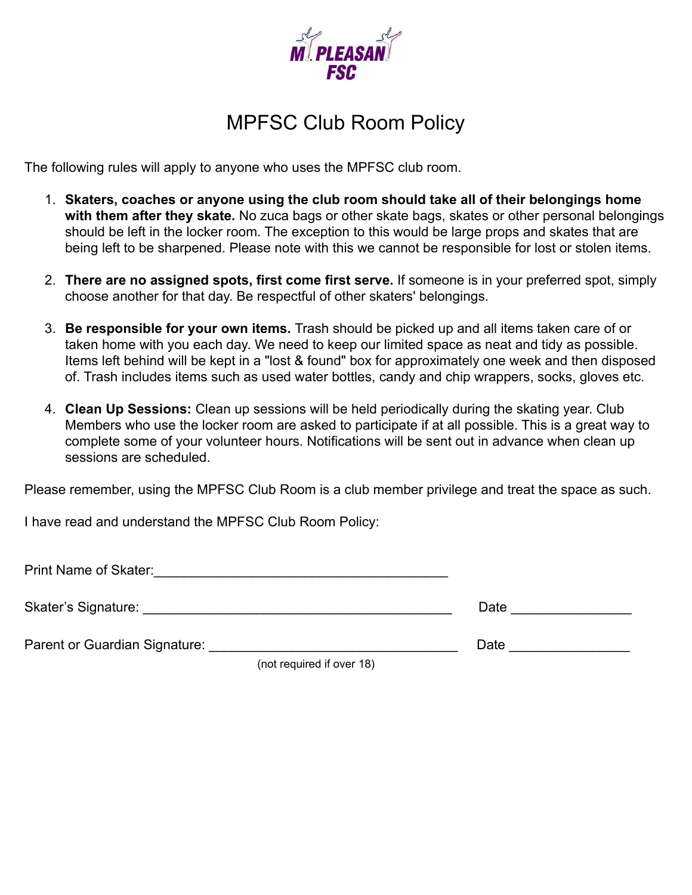

# MPFSC Club Room Policy

The following rules will apply to anyone who uses the MPFSC club room.

- 1. **Skaters, coaches or anyone using the club room should take all of their belongings home with them after they skate.** No zuca bags or other skate bags, skates or other personal belongings should be left in the locker room. The exception to this would be large props and skates that are being left to be sharpened. Please note with this we cannot be responsible for lost or stolen items.
- 2. **There are no assigned spots, first come first serve.** If someone is in your preferred spot, simply choose another for that day. Be respectful of other skaters' belongings.
- 3. **Be responsible for your own items.** Trash should be picked up and all items taken care of or taken home with you each day. We need to keep our limited space as neat and tidy as possible. Items left behind will be kept in a "lost & found" box for approximately one week and then disposed of. Trash includes items such as used water bottles, candy and chip wrappers, socks, gloves etc.
- 4. **Clean Up Sessions:** Clean up sessions will be held periodically during the skating year. Club Members who use the locker room are asked to participate if at all possible. This is a great way to complete some of your volunteer hours. Notifications will be sent out in advance when clean up sessions are scheduled.

Please remember, using the MPFSC Club Room is a club member privilege and treat the space as such.

I have read and understand the MPFSC Club Room Policy:

Print Name of Skater:\_\_\_\_\_\_\_\_\_\_\_\_\_\_\_\_\_\_\_\_\_\_\_\_\_\_\_\_\_\_\_\_\_\_\_\_\_\_\_

Skater's Signature: <br>
Skater's Signature:

Parent or Guardian Signature: \_\_\_\_\_\_\_\_\_\_\_\_\_\_\_\_\_\_\_\_\_\_\_\_\_\_\_\_\_\_\_\_\_ Date \_\_\_\_\_\_\_\_\_\_\_\_\_\_\_\_

(not required if over 18)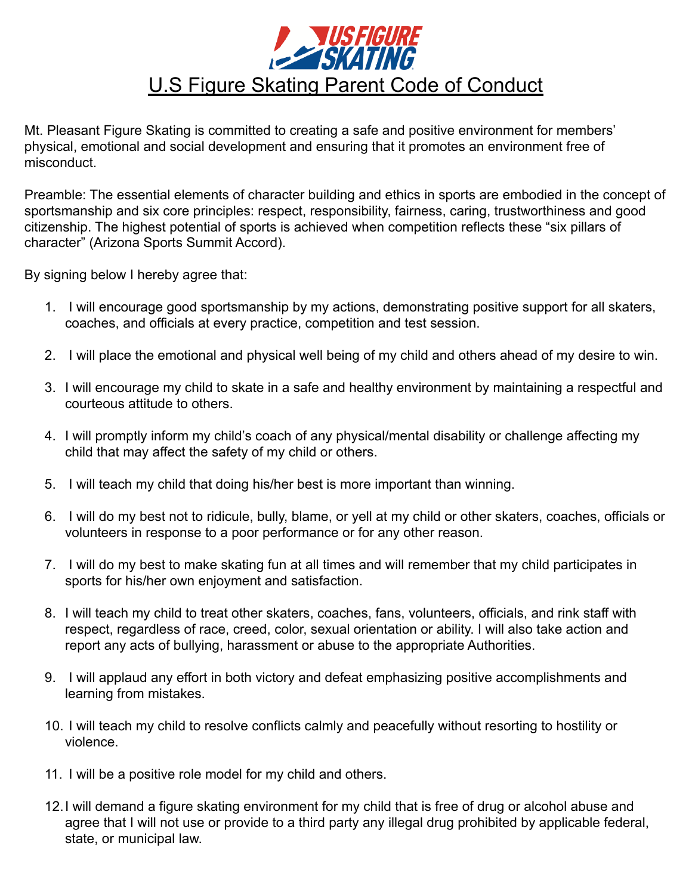

Mt. Pleasant Figure Skating is committed to creating a safe and positive environment for members' physical, emotional and social development and ensuring that it promotes an environment free of misconduct.

Preamble: The essential elements of character building and ethics in sports are embodied in the concept of sportsmanship and six core principles: respect, responsibility, fairness, caring, trustworthiness and good citizenship. The highest potential of sports is achieved when competition reflects these "six pillars of character" (Arizona Sports Summit Accord).

By signing below I hereby agree that:

- 1. I will encourage good sportsmanship by my actions, demonstrating positive support for all skaters, coaches, and officials at every practice, competition and test session.
- 2. I will place the emotional and physical well being of my child and others ahead of my desire to win.
- 3. I will encourage my child to skate in a safe and healthy environment by maintaining a respectful and courteous attitude to others.
- 4. I will promptly inform my child's coach of any physical/mental disability or challenge affecting my child that may affect the safety of my child or others.
- 5. I will teach my child that doing his/her best is more important than winning.
- 6. I will do my best not to ridicule, bully, blame, or yell at my child or other skaters, coaches, officials or volunteers in response to a poor performance or for any other reason.
- 7. I will do my best to make skating fun at all times and will remember that my child participates in sports for his/her own enjoyment and satisfaction.
- 8. I will teach my child to treat other skaters, coaches, fans, volunteers, officials, and rink staff with respect, regardless of race, creed, color, sexual orientation or ability. I will also take action and report any acts of bullying, harassment or abuse to the appropriate Authorities.
- 9. I will applaud any effort in both victory and defeat emphasizing positive accomplishments and learning from mistakes.
- 10. I will teach my child to resolve conflicts calmly and peacefully without resorting to hostility or violence.
- 11. I will be a positive role model for my child and others.
- 12.I will demand a figure skating environment for my child that is free of drug or alcohol abuse and agree that I will not use or provide to a third party any illegal drug prohibited by applicable federal, state, or municipal law.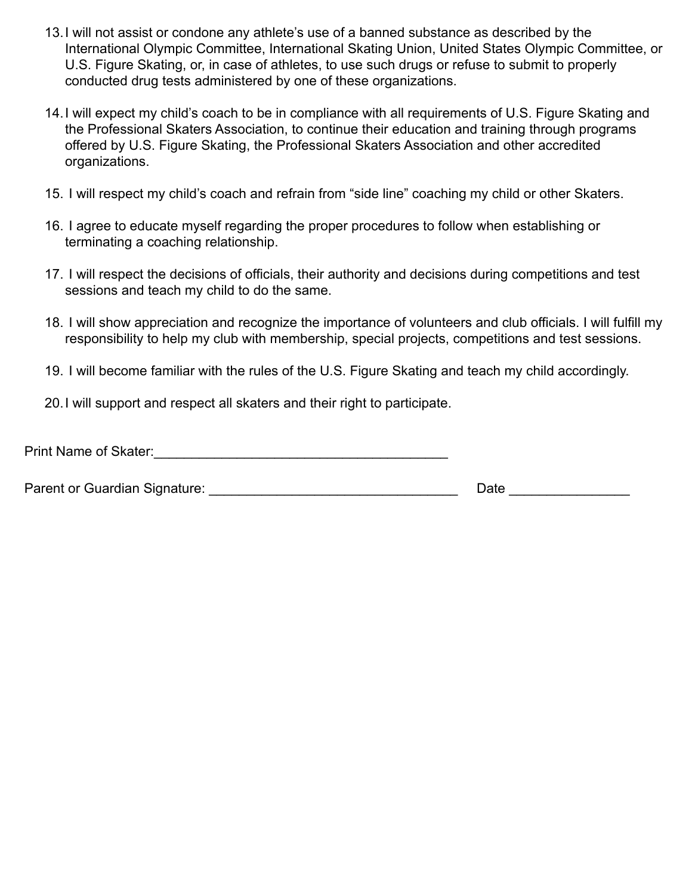- 13.I will not assist or condone any athlete's use of a banned substance as described by the International Olympic Committee, International Skating Union, United States Olympic Committee, or U.S. Figure Skating, or, in case of athletes, to use such drugs or refuse to submit to properly conducted drug tests administered by one of these organizations.
- 14.I will expect my child's coach to be in compliance with all requirements of U.S. Figure Skating and the Professional Skaters Association, to continue their education and training through programs offered by U.S. Figure Skating, the Professional Skaters Association and other accredited organizations.
- 15. I will respect my child's coach and refrain from "side line" coaching my child or other Skaters.
- 16. I agree to educate myself regarding the proper procedures to follow when establishing or terminating a coaching relationship.
- 17. I will respect the decisions of officials, their authority and decisions during competitions and test sessions and teach my child to do the same.
- 18. I will show appreciation and recognize the importance of volunteers and club officials. I will fulfill my responsibility to help my club with membership, special projects, competitions and test sessions.
- 19. I will become familiar with the rules of the U.S. Figure Skating and teach my child accordingly.
- 20.I will support and respect all skaters and their right to participate.

Parent or Guardian Signature: example and the set of the Date and Date and Date and Date and Date and Date and Date and Date and Date and Date and Date and Date and Date and Date and Date and Date and Date and Date and Dat